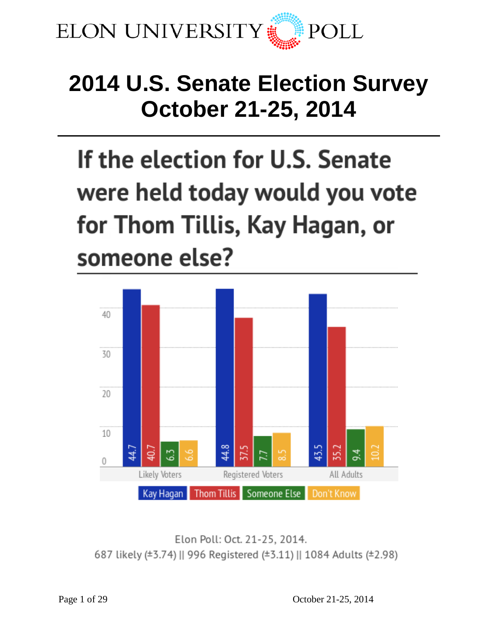

# **2014 U.S. Senate Election Survey October 21-25, 2014**

# If the election for U.S. Senate were held today would you vote for Thom Tillis, Kay Hagan, or someone else?



Elon Poll: Oct. 21-25, 2014. 687 likely (±3.74) || 996 Registered (±3.11) || 1084 Adults (±2.98)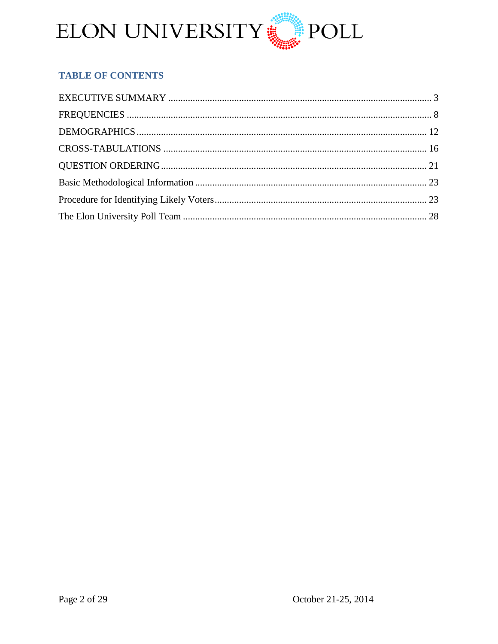

# **TABLE OF CONTENTS**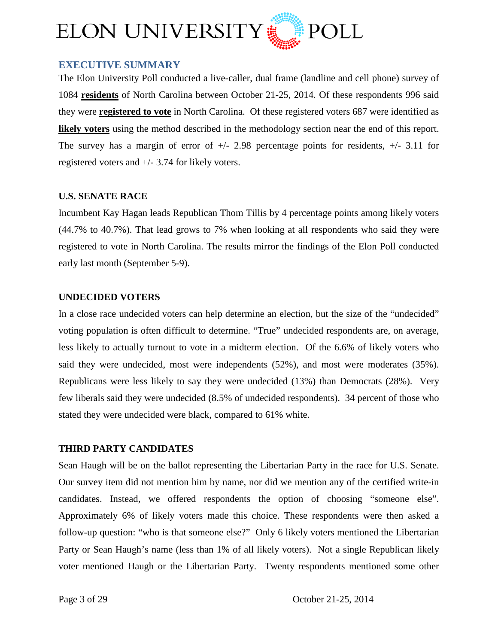

# <span id="page-2-0"></span>**EXECUTIVE SUMMARY**

The Elon University Poll conducted a live-caller, dual frame (landline and cell phone) survey of 1084 **residents** of North Carolina between October 21-25, 2014. Of these respondents 996 said they were **registered to vote** in North Carolina. Of these registered voters 687 were identified as **likely voters** using the method described in the methodology section near the end of this report. The survey has a margin of error of  $+/- 2.98$  percentage points for residents,  $+/- 3.11$  for registered voters and +/- 3.74 for likely voters.

#### **U.S. SENATE RACE**

Incumbent Kay Hagan leads Republican Thom Tillis by 4 percentage points among likely voters (44.7% to 40.7%). That lead grows to 7% when looking at all respondents who said they were registered to vote in North Carolina. The results mirror the findings of the Elon Poll conducted early last month (September 5-9).

#### **UNDECIDED VOTERS**

In a close race undecided voters can help determine an election, but the size of the "undecided" voting population is often difficult to determine. "True" undecided respondents are, on average, less likely to actually turnout to vote in a midterm election. Of the 6.6% of likely voters who said they were undecided, most were independents (52%), and most were moderates (35%). Republicans were less likely to say they were undecided (13%) than Democrats (28%). Very few liberals said they were undecided (8.5% of undecided respondents). 34 percent of those who stated they were undecided were black, compared to 61% white.

#### **THIRD PARTY CANDIDATES**

Sean Haugh will be on the ballot representing the Libertarian Party in the race for U.S. Senate. Our survey item did not mention him by name, nor did we mention any of the certified write-in candidates. Instead, we offered respondents the option of choosing "someone else". Approximately 6% of likely voters made this choice. These respondents were then asked a follow-up question: "who is that someone else?" Only 6 likely voters mentioned the Libertarian Party or Sean Haugh's name (less than 1% of all likely voters). Not a single Republican likely voter mentioned Haugh or the Libertarian Party. Twenty respondents mentioned some other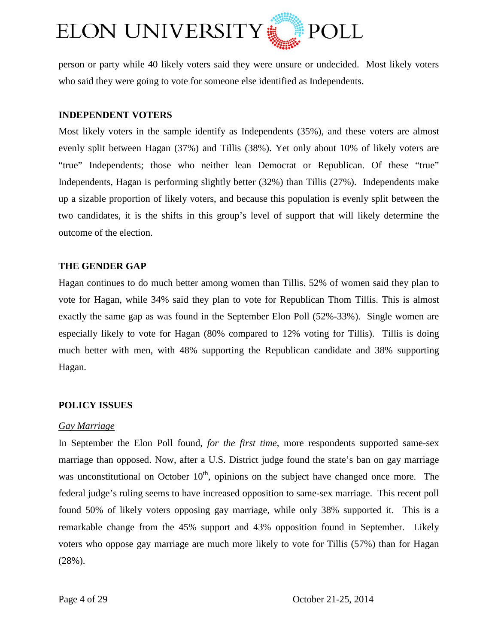

person or party while 40 likely voters said they were unsure or undecided. Most likely voters who said they were going to vote for someone else identified as Independents.

#### **INDEPENDENT VOTERS**

Most likely voters in the sample identify as Independents (35%), and these voters are almost evenly split between Hagan (37%) and Tillis (38%). Yet only about 10% of likely voters are "true" Independents; those who neither lean Democrat or Republican. Of these "true" Independents, Hagan is performing slightly better (32%) than Tillis (27%). Independents make up a sizable proportion of likely voters, and because this population is evenly split between the two candidates, it is the shifts in this group's level of support that will likely determine the outcome of the election.

#### **THE GENDER GAP**

Hagan continues to do much better among women than Tillis. 52% of women said they plan to vote for Hagan, while 34% said they plan to vote for Republican Thom Tillis. This is almost exactly the same gap as was found in the September Elon Poll (52%-33%). Single women are especially likely to vote for Hagan (80% compared to 12% voting for Tillis). Tillis is doing much better with men, with 48% supporting the Republican candidate and 38% supporting Hagan.

#### **POLICY ISSUES**

#### *Gay Marriage*

In September the Elon Poll found, *for the first time*, more respondents supported same-sex marriage than opposed. Now, after a U.S. District judge found the state's ban on gay marriage was unconstitutional on October  $10<sup>th</sup>$ , opinions on the subject have changed once more. The federal judge's ruling seems to have increased opposition to same-sex marriage. This recent poll found 50% of likely voters opposing gay marriage, while only 38% supported it. This is a remarkable change from the 45% support and 43% opposition found in September. Likely voters who oppose gay marriage are much more likely to vote for Tillis (57%) than for Hagan (28%).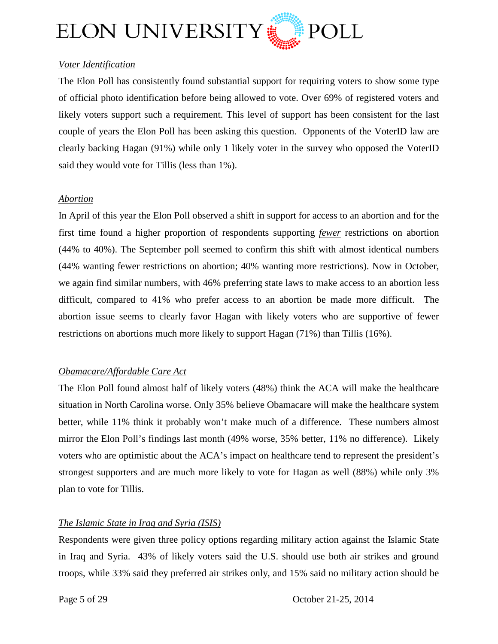

## *Voter Identification*

The Elon Poll has consistently found substantial support for requiring voters to show some type of official photo identification before being allowed to vote. Over 69% of registered voters and likely voters support such a requirement. This level of support has been consistent for the last couple of years the Elon Poll has been asking this question. Opponents of the VoterID law are clearly backing Hagan (91%) while only 1 likely voter in the survey who opposed the VoterID said they would vote for Tillis (less than 1%).

#### *Abortion*

In April of this year the Elon Poll observed a shift in support for access to an abortion and for the first time found a higher proportion of respondents supporting *fewer* restrictions on abortion (44% to 40%). The September poll seemed to confirm this shift with almost identical numbers (44% wanting fewer restrictions on abortion; 40% wanting more restrictions). Now in October, we again find similar numbers, with 46% preferring state laws to make access to an abortion less difficult, compared to 41% who prefer access to an abortion be made more difficult. The abortion issue seems to clearly favor Hagan with likely voters who are supportive of fewer restrictions on abortions much more likely to support Hagan (71%) than Tillis (16%).

#### *Obamacare/Affordable Care Act*

The Elon Poll found almost half of likely voters (48%) think the ACA will make the healthcare situation in North Carolina worse. Only 35% believe Obamacare will make the healthcare system better, while 11% think it probably won't make much of a difference. These numbers almost mirror the Elon Poll's findings last month (49% worse, 35% better, 11% no difference). Likely voters who are optimistic about the ACA's impact on healthcare tend to represent the president's strongest supporters and are much more likely to vote for Hagan as well (88%) while only 3% plan to vote for Tillis.

#### *The Islamic State in Iraq and Syria (ISIS)*

Respondents were given three policy options regarding military action against the Islamic State in Iraq and Syria. 43% of likely voters said the U.S. should use both air strikes and ground troops, while 33% said they preferred air strikes only, and 15% said no military action should be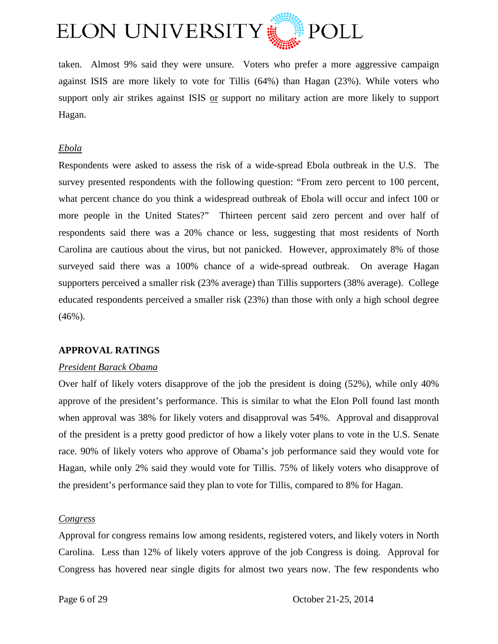

taken. Almost 9% said they were unsure. Voters who prefer a more aggressive campaign against ISIS are more likely to vote for Tillis (64%) than Hagan (23%). While voters who support only air strikes against ISIS or support no military action are more likely to support Hagan.

#### *Ebola*

Respondents were asked to assess the risk of a wide-spread Ebola outbreak in the U.S. The survey presented respondents with the following question: "From zero percent to 100 percent, what percent chance do you think a widespread outbreak of Ebola will occur and infect 100 or more people in the United States?" Thirteen percent said zero percent and over half of respondents said there was a 20% chance or less, suggesting that most residents of North Carolina are cautious about the virus, but not panicked. However, approximately 8% of those surveyed said there was a 100% chance of a wide-spread outbreak. On average Hagan supporters perceived a smaller risk (23% average) than Tillis supporters (38% average). College educated respondents perceived a smaller risk (23%) than those with only a high school degree (46%).

#### **APPROVAL RATINGS**

#### *President Barack Obama*

Over half of likely voters disapprove of the job the president is doing (52%), while only 40% approve of the president's performance. This is similar to what the Elon Poll found last month when approval was 38% for likely voters and disapproval was 54%. Approval and disapproval of the president is a pretty good predictor of how a likely voter plans to vote in the U.S. Senate race. 90% of likely voters who approve of Obama's job performance said they would vote for Hagan, while only 2% said they would vote for Tillis. 75% of likely voters who disapprove of the president's performance said they plan to vote for Tillis, compared to 8% for Hagan.

#### *Congress*

Approval for congress remains low among residents, registered voters, and likely voters in North Carolina. Less than 12% of likely voters approve of the job Congress is doing. Approval for Congress has hovered near single digits for almost two years now. The few respondents who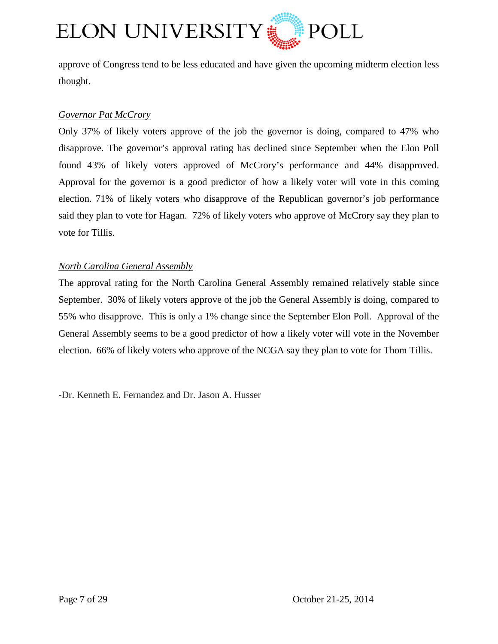

approve of Congress tend to be less educated and have given the upcoming midterm election less thought.

#### *Governor Pat McCrory*

Only 37% of likely voters approve of the job the governor is doing, compared to 47% who disapprove. The governor's approval rating has declined since September when the Elon Poll found 43% of likely voters approved of McCrory's performance and 44% disapproved. Approval for the governor is a good predictor of how a likely voter will vote in this coming election. 71% of likely voters who disapprove of the Republican governor's job performance said they plan to vote for Hagan. 72% of likely voters who approve of McCrory say they plan to vote for Tillis.

#### *North Carolina General Assembly*

The approval rating for the North Carolina General Assembly remained relatively stable since September. 30% of likely voters approve of the job the General Assembly is doing, compared to 55% who disapprove. This is only a 1% change since the September Elon Poll. Approval of the General Assembly seems to be a good predictor of how a likely voter will vote in the November election. 66% of likely voters who approve of the NCGA say they plan to vote for Thom Tillis.

-Dr. Kenneth E. Fernandez and Dr. Jason A. Husser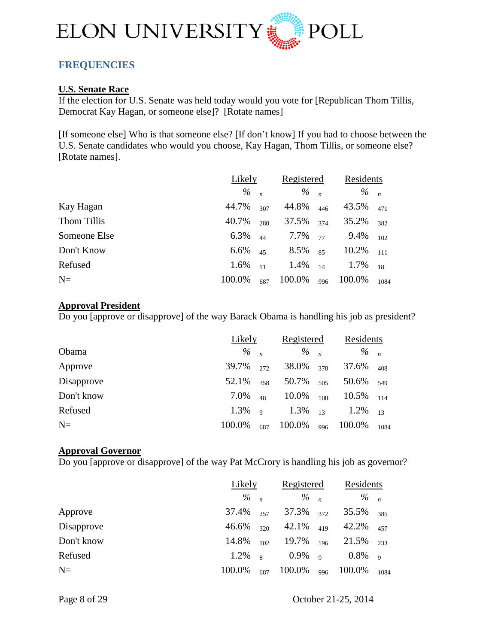

# <span id="page-7-0"></span>**FREQUENCIES**

#### **U.S. Senate Race**

If the election for U.S. Senate was held today would you vote for [Republican Thom Tillis, Democrat Kay Hagan, or someone else]? [Rotate names]

[If someone else] Who is that someone else? [If don't know] If you had to choose between the U.S. Senate candidates who would you choose, Kay Hagan, Thom Tillis, or someone else? [Rotate names].

|              | Likely |     | Registered      |     | Residents       |      |
|--------------|--------|-----|-----------------|-----|-----------------|------|
|              | %      |     | $\frac{9}{6}$ n |     | $\frac{9}{6}$ n |      |
| Kay Hagan    | 44.7%  | 307 | 44.8%           | 446 | 43.5%           | 471  |
| Thom Tillis  | 40.7%  | 280 | 37.5%           | 374 | 35.2%           | 382  |
| Someone Else | 6.3%   | 44  | 7.7%            | 77  | 9.4%            | 102  |
| Don't Know   | 6.6%   | 45  | 8.5%            | 85  | 10.2%           | 111  |
| Refused      | 1.6%   | 11  | 1.4%            | 14  | 1.7%            | 18   |
| $N=$         | 100.0% | 687 | 100.0%          | 996 | 100.0%          | 1084 |

#### **Approval President**

Do you [approve or disapprove] of the way Barack Obama is handling his job as president?

|            | Likely |              | Registered      |     | Residents       |      |
|------------|--------|--------------|-----------------|-----|-----------------|------|
| Obama      | %      |              | $\frac{9}{6}$ n |     | $\frac{9}{6}$ n |      |
| Approve    | 39.7%  | 272          | 38.0%           | 378 | 37.6%           | 408  |
| Disapprove | 52.1%  | 358          | 50.7%           | 505 | 50.6%           | 549  |
| Don't know | 7.0%   | 48           | 10.0%           | 100 | 10.5%           | 114  |
| Refused    | 1.3%   | $\mathbf{Q}$ | $1.3\%$ 13      |     | 1.2%            | 13   |
| $N=$       | 100.0% | 687          | 100.0%          | 996 | 100.0%          | 1084 |

#### **Approval Governor**

Do you [approve or disapprove] of the way Pat McCrory is handling his job as governor?

|            | Likely          |                | Registered      |     | Residents       |                |
|------------|-----------------|----------------|-----------------|-----|-----------------|----------------|
|            | $\frac{9}{6}$ n |                | $\frac{9}{6}$ n |     | $\frac{9}{6}$ n |                |
| Approve    | 37.4%           | 257            | 37.3%           | 372 | 35.5%           | 385            |
| Disapprove | 46.6%           | 320            | 42.1%           | 419 | 42.2%           | 457            |
| Don't know | 14.8%           | 102.           | 19.7%           | 196 | 21.5%           | 233            |
| Refused    | 1.2%            | $\overline{8}$ | $0.9\%$ 9       |     | $0.8\%$         | $\overline{q}$ |
| $N=$       | 100.0%          | 687            | 100.0%          | 996 | 100.0%          | 1084           |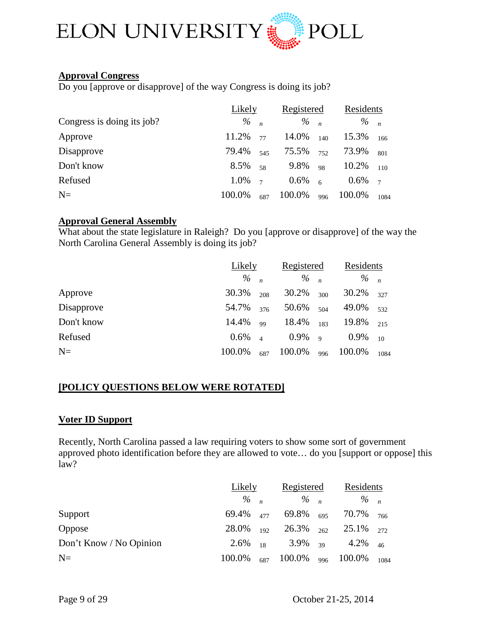

#### **Approval Congress**

Do you [approve or disapprove] of the way Congress is doing its job?

|                            | Likely | Registered     |                 | Residents      |                 |                |
|----------------------------|--------|----------------|-----------------|----------------|-----------------|----------------|
| Congress is doing its job? | $\%$   |                | $\frac{9}{6}$ n |                | $\frac{9}{6}$ n |                |
| Approve                    | 11.2%  | 77             | 14.0%           | 140            | 15.3%           | 166            |
| Disapprove                 | 79.4%  | 545            | 75.5%           | 752            | 73.9%           | 801            |
| Don't know                 | 8.5%   | 58             | 9.8%            | 98             | 10.2%           | 110            |
| Refused                    | 1.0%   | $\overline{7}$ | $0.6\%$         | $\overline{6}$ | $0.6\%$         | $\overline{7}$ |
| $N=$                       | 100.0% | 687            | 100.0%          | 996            | 100.0%          | 1084           |

# **Approval General Assembly**

What about the state legislature in Raleigh? Do you [approve or disapprove] of the way the North Carolina General Assembly is doing its job?

|            | Likely  |                        | Registered      |     | Residents       |      |
|------------|---------|------------------------|-----------------|-----|-----------------|------|
|            | $\%$    |                        | $\frac{9}{6}$ n |     | $\frac{9}{6}$ n |      |
| Approve    | 30.3%   | 208                    | 30.2%           | 300 | 30.2%           | 327  |
| Disapprove | 54.7%   | 376                    | 50.6%           | 504 | 49.0%           | 532  |
| Don't know | 14.4%   | 99                     | 18.4%           | 183 | 19.8%           | 215  |
| Refused    | $0.6\%$ | $\boldsymbol{\Lambda}$ | $0.9\%$ 9       |     | 0.9%            | 10   |
| $N=$       | 100.0%  | 687                    | 100.0%          | 996 | 100.0%          | 1084 |

#### **[POLICY QUESTIONS BELOW WERE ROTATED]**

#### **Voter ID Support**

Recently, North Carolina passed a law requiring voters to show some sort of government approved photo identification before they are allowed to vote… do you [support or oppose] this law?

|                         | Likely       |     | Registered           |  | Residents                           |      |
|-------------------------|--------------|-----|----------------------|--|-------------------------------------|------|
|                         | $\%$ n       |     | $\frac{0}{0}$ n      |  | $\frac{9}{6}$ n                     |      |
| Support                 | 69.4% 477    |     | 69.8% <sub>695</sub> |  | 70.7% <sub>766</sub>                |      |
| Oppose                  | $28.0\%$ 192 |     |                      |  | $26.3\%$ $_{262}$ $25.1\%$ $_{272}$ |      |
| Don't Know / No Opinion | $2.6\%$ 18   |     | $3.9\%$ 39           |  | 4.2%                                | 46   |
| $N=$                    | 100.0%       | 687 | $100.0\%$ 996        |  | 100.0%                              | 1084 |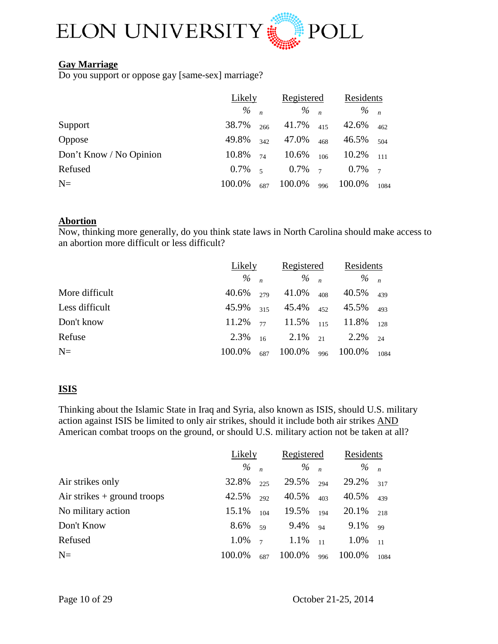

#### **Gay Marriage**

Do you support or oppose gay [same-sex] marriage?

|                         | Likely    |     | Registered      |     | Residents       |                |
|-------------------------|-----------|-----|-----------------|-----|-----------------|----------------|
|                         | $\%$      |     | $\frac{9}{6}$ n |     | $\frac{9}{6}$ n |                |
| Support                 | 38.7%     | 266 | 41.7%           | 415 | 42.6%           | 462            |
| Oppose                  | 49.8%     | 342 | 47.0%           | 468 | 46.5%           | 504            |
| Don't Know / No Opinion | 10.8%     | 74  | 10.6%           | 106 | 10.2%           | 111            |
| Refused                 | $0.7\%$ 5 |     | $0.7\%$ 7       |     | 0.7%            | $\overline{7}$ |
| $N=$                    | 100.0%    | 687 | 100.0%          | 996 | 100.0%          | 1084           |

#### **Abortion**

Now, thinking more generally, do you think state laws in North Carolina should make access to an abortion more difficult or less difficult?

|                |                 | Likely |                                             | Registered |                            | Residents |
|----------------|-----------------|--------|---------------------------------------------|------------|----------------------------|-----------|
|                | $\frac{9}{6}$ n |        | $\frac{9}{6}$ n                             |            | $\frac{9}{6}$ n            |           |
| More difficult | 40.6%           | 279    | 41.0%                                       | 408        | $40.5\%$ $439$             |           |
| Less difficult | 45.9% 315       |        |                                             |            | $45.4\%$ $_{452}$ $45.5\%$ | 493       |
| Don't know     |                 |        | $11.2\%$ $_{77}$ $11.5\%$ $_{115}$ $11.8\%$ |            |                            | 128       |
| Refuse         | 2.3%            | 16     | 2.1% $_{21}$ 2.2%                           |            |                            | 24        |
| $N=$           | 100.0%          | 687    | $100.0\%$ 996                               |            | 100.0%                     | 1084      |

#### **ISIS**

Thinking about the Islamic State in Iraq and Syria, also known as ISIS, should U.S. military action against ISIS be limited to only air strikes, should it include both air strikes AND American combat troops on the ground, or should U.S. military action not be taken at all?

|                               | Likely |                | Registered |                  | Residents       |      |
|-------------------------------|--------|----------------|------------|------------------|-----------------|------|
|                               | $\%$   |                | $\%$       | $\boldsymbol{n}$ | $\frac{9}{6}$ n |      |
| Air strikes only              | 32.8%  | 225            | 29.5%      | 294              | 29.2%           | 317  |
| Air strikes $+$ ground troops | 42.5%  | 292            | 40.5%      | 403              | 40.5%           | 439  |
| No military action            | 15.1%  | 104            | 19.5%      | 194              | 20.1%           | 218  |
| Don't Know                    | 8.6%   | 59             | 9.4%       | 94               | 9.1%            | 99   |
| Refused                       | 1.0%   | $\overline{7}$ | 1.1%       | 11               | 1.0%            | 11   |
| $N=$                          | 100.0% | 687            | 100.0%     | 996              | 100.0%          | 1084 |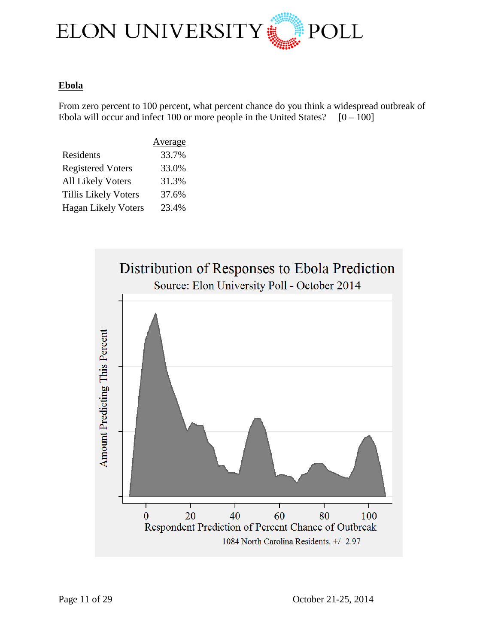

#### **Ebola**

From zero percent to 100 percent, what percent chance do you think a widespread outbreak of Ebola will occur and infect 100 or more people in the United States?  $[0 - 100]$ 

|                             | Average |
|-----------------------------|---------|
| Residents                   | 33.7%   |
| <b>Registered Voters</b>    | 33.0%   |
| <b>All Likely Voters</b>    | 31.3%   |
| <b>Tillis Likely Voters</b> | 37.6%   |
| <b>Hagan Likely Voters</b>  | 23.4%   |

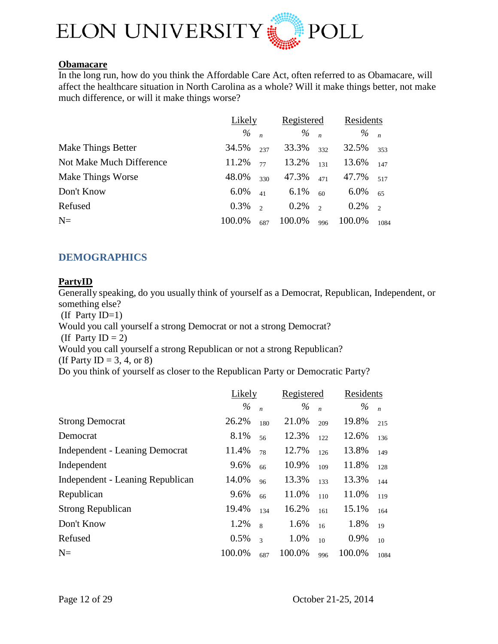

# **Obamacare**

In the long run, how do you think the Affordable Care Act, often referred to as Obamacare, will affect the healthcare situation in North Carolina as a whole? Will it make things better, not make much difference, or will it make things worse?

|                          | Likely |          | Registered      |               | Residents       |               |
|--------------------------|--------|----------|-----------------|---------------|-----------------|---------------|
|                          | %      |          | $\frac{9}{6}$ n |               | $\frac{9}{6}$ n |               |
| Make Things Better       | 34.5%  | 237      | 33.3%           | 332           | 32.5%           | 353           |
| Not Make Much Difference | 11.2%  | 77       | 13.2%           | 131           | 13.6%           | 147           |
| <b>Make Things Worse</b> | 48.0%  | 330      | 47.3%           | 471           | 47.7%           | 517           |
| Don't Know               | 6.0%   | 41       | $6.1\%$         | 60            | 6.0%            | 65            |
| Refused                  | 0.3%   | $\gamma$ | 0.2%            | $\mathcal{L}$ | 0.2%            | $\mathcal{L}$ |
| $N=$                     | 100.0% | 687      | 100.0%          | 996           | 100.0%          | 1084          |

# <span id="page-11-0"></span>**DEMOGRAPHICS**

#### **PartyID**

Generally speaking, do you usually think of yourself as a Democrat, Republican, Independent, or something else?

(If Party ID=1)

Would you call yourself a strong Democrat or not a strong Democrat?

(If Party ID  $= 2$ )

Would you call yourself a strong Republican or not a strong Republican?

(If Party ID = 3, 4, or 8)

Do you think of yourself as closer to the Republican Party or Democratic Party?

|                                       | Likely |                  | Registered |                | Residents |                |
|---------------------------------------|--------|------------------|------------|----------------|-----------|----------------|
|                                       | $\%$   | $\boldsymbol{n}$ | $\%$       | $\overline{n}$ | $\%$      | $\overline{n}$ |
| <b>Strong Democrat</b>                | 26.2%  | 180              | 21.0%      | 209            | 19.8%     | 215            |
| Democrat                              | 8.1%   | 56               | 12.3%      | 122            | 12.6%     | 136            |
| <b>Independent - Leaning Democrat</b> | 11.4%  | 78               | 12.7%      | 126            | 13.8%     | 149            |
| Independent                           | 9.6%   | 66               | 10.9%      | 109            | 11.8%     | 128            |
| Independent - Leaning Republican      | 14.0%  | 96               | 13.3%      | 133            | 13.3%     | 144            |
| Republican                            | 9.6%   | 66               | 11.0%      | 110            | 11.0%     | 119            |
| <b>Strong Republican</b>              | 19.4%  | 134              | 16.2%      | 161            | 15.1%     | 164            |
| Don't Know                            | 1.2%   | $\mathbf{8}$     | 1.6%       | 16             | 1.8%      | 19             |
| Refused                               | 0.5%   | $\mathcal{L}$    | 1.0%       | 10             | 0.9%      | 10             |
| $N=$                                  | 100.0% | 687              | 100.0%     | 996            | 100.0%    | 1084           |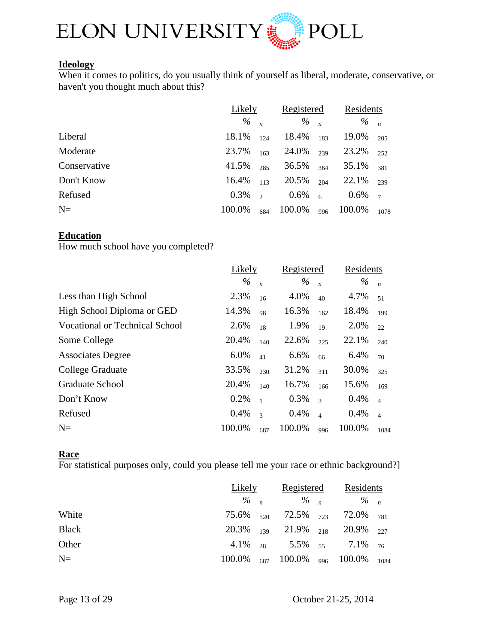

# **Ideology**

When it comes to politics, do you usually think of yourself as liberal, moderate, conservative, or haven't you thought much about this?

|              | Likely |          | Registered      |                | Residents       |                |
|--------------|--------|----------|-----------------|----------------|-----------------|----------------|
|              | %      |          | $\frac{9}{6}$ n |                | $\frac{9}{6}$ n |                |
| Liberal      | 18.1%  | 124      | 18.4%           | 183            | 19.0%           | 205            |
| Moderate     | 23.7%  | 163      | 24.0%           | 239            | 23.2%           | 252            |
| Conservative | 41.5%  | 285      | 36.5%           | 364            | 35.1%           | 381            |
| Don't Know   | 16.4%  | 113      | 20.5%           | 204            | 22.1%           | 239            |
| Refused      | 0.3%   | $\gamma$ | $0.6\%$         | 6 <sup>6</sup> | $0.6\%$         | $\overline{7}$ |
| $N=$         | 100.0% | 684      | 100.0%          | 996            | 100.0%          | 1078           |

#### **Education**

How much school have you completed?

|                                       | Likely |                          | Registered |                          | Residents |                |
|---------------------------------------|--------|--------------------------|------------|--------------------------|-----------|----------------|
|                                       | $\%$   | $\boldsymbol{n}$         | $\%$       | $\boldsymbol{n}$         | $\%$      | $\overline{n}$ |
| Less than High School                 | 2.3%   | 16                       | 4.0%       | 40                       | 4.7%      | 51             |
| High School Diploma or GED            | 14.3%  | 98                       | 16.3%      | 162                      | 18.4%     | 199            |
| <b>Vocational or Technical School</b> | 2.6%   | 18                       | 1.9%       | 19                       | 2.0%      | 22             |
| Some College                          | 20.4%  | 140                      | 22.6%      | 225                      | 22.1%     | 240            |
| <b>Associates Degree</b>              | 6.0%   | 41                       | 6.6%       | 66                       | 6.4%      | 70             |
| College Graduate                      | 33.5%  | 230                      | 31.2%      | 311                      | 30.0%     | 325            |
| Graduate School                       | 20.4%  | 140                      | 16.7%      | 166                      | 15.6%     | 169            |
| Don't Know                            | 0.2%   | $\overline{1}$           | 0.3%       | $\overline{\mathcal{L}}$ | 0.4%      | $\overline{4}$ |
| Refused                               | 0.4%   | $\overline{\mathcal{L}}$ | 0.4%       | $\overline{4}$           | 0.4%      | $\overline{4}$ |
| $N=$                                  | 100.0% | 687                      | 100.0%     | 996                      | 100.0%    | 1084           |

#### **Race**

For statistical purposes only, could you please tell me your race or ethnic background?]

|              | Likely |  | Registered | Residents                                                   |  |
|--------------|--------|--|------------|-------------------------------------------------------------|--|
|              |        |  |            | $\frac{9}{6}$ n $\frac{9}{6}$ n $\frac{9}{6}$ n             |  |
| White        |        |  |            | 75.6% $\frac{520}{72.5\%}$ 72.5% 72.0% 781                  |  |
| <b>Black</b> |        |  |            | 20.3% $_{139}$ 21.9% $_{218}$ 20.9% $_{227}$                |  |
| Other        |        |  |            | 4.1\% <sub>28</sub> 5.5\% <sub>55</sub> 7.1\% <sub>76</sub> |  |
| $N=$         |        |  |            | 100.0% $_{687}$ 100.0% $_{996}$ 100.0% $_{1084}$            |  |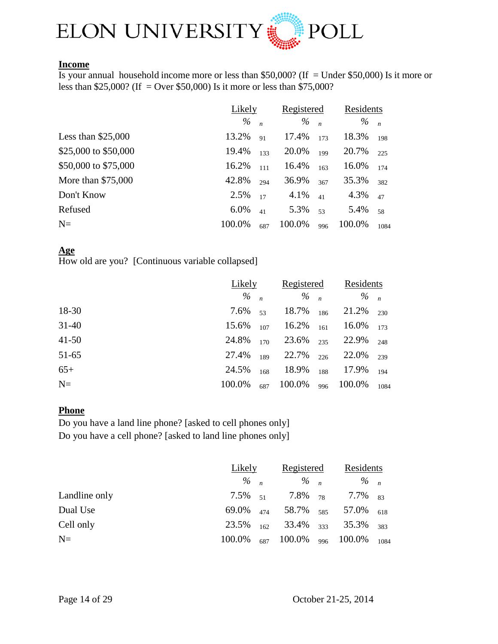

#### **Income**

Is your annual household income more or less than \$50,000? (If = Under \$50,000) Is it more or less than \$25,000? (If = Over \$50,000) Is it more or less than \$75,000?

|                      | Likely |                  | Registered |                  | Residents |                |
|----------------------|--------|------------------|------------|------------------|-----------|----------------|
|                      | $\%$   | $\boldsymbol{n}$ | $\%$       | $\boldsymbol{n}$ | %         | $\overline{n}$ |
| Less than $$25,000$  | 13.2%  | 91               | 17.4%      | 173              | 18.3%     | 198            |
| \$25,000 to \$50,000 | 19.4%  | 133              | 20.0%      | 199              | 20.7%     | 225            |
| \$50,000 to \$75,000 | 16.2%  | 111              | 16.4%      | 163              | 16.0%     | 174            |
| More than \$75,000   | 42.8%  | 294              | 36.9%      | 367              | 35.3%     | 382            |
| Don't Know           | 2.5%   | 17               | 4.1%       | 41               | 4.3%      | 47             |
| Refused              | 6.0%   | 41               | 5.3%       | 53               | 5.4%      | 58             |
| $N=$                 | 100.0% | 687              | 100.0%     | 996              | 100.0%    | 1084           |

#### **Age**

How old are you? [Continuous variable collapsed]

|           |                 | Likely |                 | Registered |                 | Residents |
|-----------|-----------------|--------|-----------------|------------|-----------------|-----------|
|           | $\frac{9}{6}$ n |        | $\frac{9}{6}$ n |            | $\frac{9}{6}$ n |           |
| 18-30     | 7.6%            | 53     | 18.7%           | 186        | 21.2%           | 230       |
| $31 - 40$ | 15.6%           | 107    | 16.2%           | 161        | 16.0%           | 173       |
| $41 - 50$ | 24.8%           | 170    | 23.6%           | 235        | 22.9%           | 248       |
| $51-65$   | 27.4%           |        | $189$ 22.7%     | 226        | 22.0%           | 239       |
| $65+$     | 24.5%           | 168    | 18.9%           | 188        | 17.9%           | 194       |
| $N =$     | 100.0%          | 687    | 100.0%          | 996        | 100.0%          | 1084      |

#### **Phone**

Do you have a land line phone? [asked to cell phones only] Do you have a cell phone? [asked to land line phones only]

|               | Likely          |  | Registered              |  | Residents                                             |      |
|---------------|-----------------|--|-------------------------|--|-------------------------------------------------------|------|
|               | $\frac{9}{6}$ n |  | $\frac{9}{6}$ n         |  | $\frac{9}{6}$ n                                       |      |
| Landline only | $7.5\%$ $51$    |  |                         |  | 7.8% $_{78}$ 7.7% $_{83}$                             |      |
| Dual Use      | 69.0% 474       |  |                         |  | 58.7% <sub>585</sub> 57.0%                            | 618  |
| Cell only     | 23.5%           |  | $162$ 33.4% $333$ 35.3% |  |                                                       | 383  |
| $N=$          |                 |  |                         |  | $100.0\%$ <sub>687</sub> 100.0% <sub>996</sub> 100.0% | 1084 |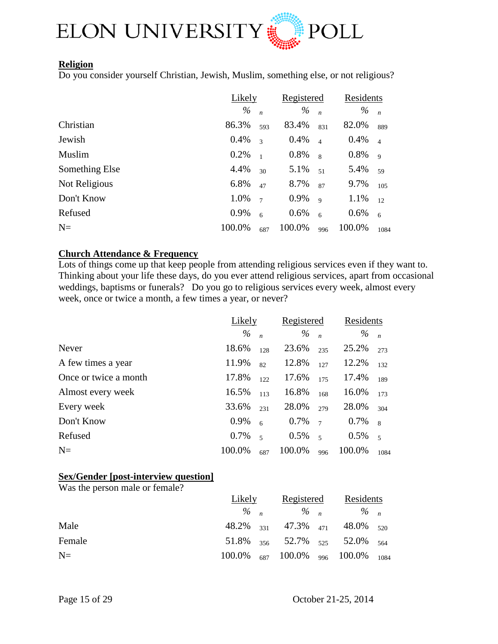

#### **Religion**

Do you consider yourself Christian, Jewish, Muslim, something else, or not religious?

|                | Likely |                          | Registered |                  | Residents |                |
|----------------|--------|--------------------------|------------|------------------|-----------|----------------|
|                | $\%$   | $\boldsymbol{n}$         | $\%$       | $\boldsymbol{n}$ | $\%$      | $\overline{n}$ |
| Christian      | 86.3%  | 593                      | 83.4%      | 831              | 82.0%     | 889            |
| Jewish         | 0.4%   | $\overline{\mathcal{E}}$ | 0.4%       | $\overline{4}$   | 0.4%      | $\overline{4}$ |
| Muslim         | 0.2%   | $\mathbf{1}$             | 0.8%       | $\mathbf{8}$     | 0.8%      | $\overline{Q}$ |
| Something Else | 4.4%   | 30                       | 5.1%       | 51               | 5.4%      | 59             |
| Not Religious  | 6.8%   | 47                       | 8.7%       | 87               | 9.7%      | 105            |
| Don't Know     | 1.0%   | $\overline{7}$           | 0.9%       | $\mathbf{Q}$     | 1.1%      | 12             |
| Refused        | 0.9%   | 6                        | 0.6%       | 6                | 0.6%      | 6              |
| $N=$           | 100.0% | 687                      | 100.0%     | 996              | 100.0%    | 1084           |

#### **Church Attendance & Frequency**

Lots of things come up that keep people from attending religious services even if they want to. Thinking about your life these days, do you ever attend religious services, apart from occasional weddings, baptisms or funerals? Do you go to religious services every week, almost every week, once or twice a month, a few times a year, or never?

|                       | Likely |                          | Registered      |                | Residents |                          |
|-----------------------|--------|--------------------------|-----------------|----------------|-----------|--------------------------|
|                       | $\%$   | $\boldsymbol{n}$         | $\frac{9}{6}$ n |                | %         | $\overline{n}$           |
| Never                 | 18.6%  | 128                      | 23.6%           | 235            | 25.2%     | 273                      |
| A few times a year    | 11.9%  | 82                       | 12.8%           | 127            | 12.2%     | 132                      |
| Once or twice a month | 17.8%  | 122                      | 17.6%           | 175            | 17.4%     | 189                      |
| Almost every week     | 16.5%  | 113                      | 16.8%           | 168            | 16.0%     | 173                      |
| Every week            | 33.6%  | 231                      | 28.0%           | 279            | 28.0%     | 304                      |
| Don't Know            | 0.9%   | 6                        | 0.7%            | $\overline{7}$ | 0.7%      | $\overline{8}$           |
| Refused               | 0.7%   | $\overline{\phantom{a}}$ | 0.5%            | $\overline{5}$ | 0.5%      | $\overline{\phantom{0}}$ |
| $N=$                  | 100.0% | 687                      | 100.0%          | 996            | 100.0%    | 1084                     |

#### **Sex/Gender [post-interview question]**

Was the person male or female?

|        | Likely |  | Registered |  | Residents                                                               |  |
|--------|--------|--|------------|--|-------------------------------------------------------------------------|--|
|        |        |  |            |  | $\frac{0}{2}$ $\frac{0}{n}$ $\frac{0}{2}$ $\frac{0}{n}$ $\frac{0}{n}$   |  |
| Male   |        |  |            |  | 48.2% $_{331}$ 47.3% $_{471}$ 48.0% $_{520}$                            |  |
| Female |        |  |            |  | 51.8% $\frac{356}{356}$ 52.7% $\frac{525}{325}$ 52.0% $\frac{564}{364}$ |  |
| $N=$   |        |  |            |  | 100.0% $_{687}$ 100.0% $_{996}$ 100.0% $_{1084}$                        |  |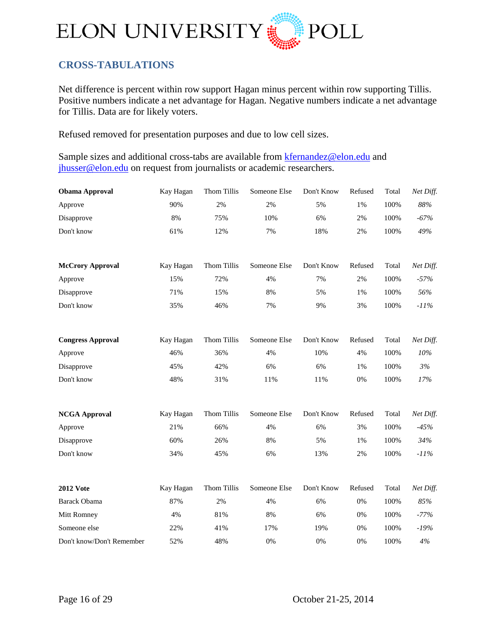

# <span id="page-15-0"></span>**CROSS-TABULATIONS**

Net difference is percent within row support Hagan minus percent within row supporting Tillis. Positive numbers indicate a net advantage for Hagan. Negative numbers indicate a net advantage for Tillis. Data are for likely voters.

Refused removed for presentation purposes and due to low cell sizes.

Sample sizes and additional cross-tabs are available from [kfernandez@elon.edu](mailto:kfernandez@elon.edu) and [jhusser@elon.edu](mailto:jhusser@elon.edu) on request from journalists or academic researchers.

| <b>Obama Approval</b>     | Kay Hagan | <b>Thom Tillis</b> | Someone Else | Don't Know | Refused | Total | Net Diff. |
|---------------------------|-----------|--------------------|--------------|------------|---------|-------|-----------|
| Approve                   | 90%       | 2%                 | 2%           | 5%         | 1%      | 100%  | $88\%$    |
| Disapprove                | 8%        | 75%                | 10%          | 6%         | 2%      | 100%  | $-67%$    |
| Don't know                | 61%       | 12%                | 7%           | 18%        | 2%      | 100%  | 49%       |
| <b>McCrory Approval</b>   | Kay Hagan | Thom Tillis        | Someone Else | Don't Know | Refused | Total | Net Diff. |
| Approve                   | 15%       | 72%                | 4%           | 7%         | 2%      | 100%  | $-57%$    |
| Disapprove                | 71%       | 15%                | 8%           | 5%         | 1%      | 100%  | 56%       |
| Don't know                | 35%       | 46%                | 7%           | 9%         | 3%      | 100%  | $-11%$    |
| <b>Congress Approval</b>  | Kay Hagan | Thom Tillis        | Someone Else | Don't Know | Refused | Total | Net Diff. |
| Approve                   | 46%       | 36%                | 4%           | 10%        | 4%      | 100%  | 10%       |
| Disapprove                | 45%       | 42%                | 6%           | 6%         | 1%      | 100%  | 3%        |
| Don't know                | 48%       | 31%                | 11%          | 11%        | 0%      | 100%  | 17%       |
| <b>NCGA Approval</b>      | Kay Hagan | Thom Tillis        | Someone Else | Don't Know | Refused | Total | Net Diff. |
| Approve                   | 21%       | 66%                | 4%           | 6%         | 3%      | 100%  | $-45%$    |
| Disapprove                | 60%       | 26%                | 8%           | 5%         | 1%      | 100%  | 34%       |
| Don't know                | 34%       | 45%                | 6%           | 13%        | 2%      | 100%  | $-11%$    |
| <b>2012 Vote</b>          | Kay Hagan | Thom Tillis        | Someone Else | Don't Know | Refused | Total | Net Diff. |
| <b>Barack Obama</b>       | 87%       | 2%                 | 4%           | 6%         | 0%      | 100%  | 85%       |
| Mitt Romney               | 4%        | 81%                | 8%           | 6%         | 0%      | 100%  | $-77%$    |
| Someone else              | 22%       | 41%                | 17%          | 19%        | 0%      | 100%  | $-19%$    |
| Don't know/Don't Remember | 52%       | 48%                | $0\%$        | $0\%$      | 0%      | 100%  | $4\%$     |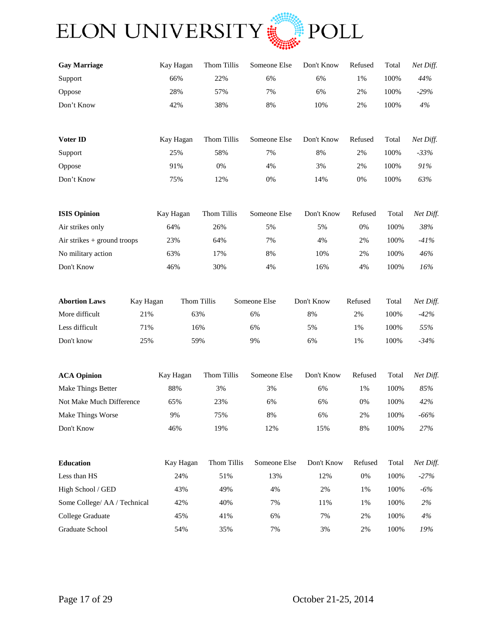

| <b>Gay Marriage</b>           |           | Kay Hagan | Thom Tillis | Someone Else | Don't Know | Refused | Total | Net Diff. |
|-------------------------------|-----------|-----------|-------------|--------------|------------|---------|-------|-----------|
| Support                       |           | 66%       | 22%         | 6%           | 6%         | 1%      | 100%  | 44%       |
| Oppose                        |           | 28%       | 57%         | 7%           | 6%         | 2%      | 100%  | $-29%$    |
| Don't Know                    |           | 42%       | 38%         | 8%           | 10%        | 2%      | 100%  | $4\%$     |
| Voter ID                      |           | Kay Hagan | Thom Tillis | Someone Else | Don't Know | Refused | Total | Net Diff. |
| Support                       |           | 25%       | 58%         | 7%           | 8%         | 2%      | 100%  | $-33%$    |
| Oppose                        |           | 91%       | 0%          | 4%           | 3%         | 2%      | 100%  | 91%       |
| Don't Know                    |           | 75%       | 12%         | $0\%$        | 14%        | $0\%$   | 100%  | 63%       |
| <b>ISIS Opinion</b>           |           | Kay Hagan | Thom Tillis | Someone Else | Don't Know | Refused | Total | Net Diff. |
| Air strikes only              |           | 64%       | 26%         | 5%           | 5%         | 0%      | 100%  | 38%       |
| Air strikes $+$ ground troops |           | 23%       | 64%         | 7%           | 4%         | 2%      | 100%  | $-41%$    |
| No military action            |           | 63%       | 17%         | 8%           | 10%        | 2%      | 100%  | 46%       |
| Don't Know                    |           | 46%       | 30%         | 4%           | 16%        | 4%      | 100%  | 16%       |
| <b>Abortion Laws</b>          | Kay Hagan |           | Thom Tillis | Someone Else | Don't Know | Refused | Total | Net Diff. |
| More difficult                | 21%       |           | 63%         | 6%           | 8%         | 2%      | 100%  | $-42%$    |
| Less difficult                | 71%       |           | 16%         | 6%           | 5%         | 1%      | 100%  | 55%       |
| Don't know                    | 25%       |           | 59%         | 9%           | 6%         | 1%      | 100%  | $-34%$    |
| <b>ACA Opinion</b>            |           | Kay Hagan | Thom Tillis | Someone Else | Don't Know | Refused | Total | Net Diff. |
| <b>Make Things Better</b>     |           | 88%       | 3%          | 3%           | 6%         | 1%      | 100%  | $85\%$    |
| Not Make Much Difference      |           | 65%       | 23%         | 6%           | 6%         | 0%      | 100%  | 42%       |
| Make Things Worse             |           | 9%        | 75%         | 8%           | 6%         | 2%      | 100%  | $-66\%$   |
| Don't Know                    |           | 46%       | 19%         | 12%          | 15%        | 8%      | 100%  | 27%       |
| Education                     |           | Kay Hagan | Thom Tillis | Someone Else | Don't Know | Refused | Total | Net Diff. |
| Less than HS                  |           | 24%       | 51%         | 13%          | 12%        | $0\%$   | 100%  | $-27%$    |
| High School / GED             |           | 43%       | 49%         | 4%           | 2%         | 1%      | 100%  | $-6\%$    |
| Some College/ AA / Technical  |           | 42%       | 40%         | 7%           | 11%        | 1%      | 100%  | $2\%$     |
| College Graduate              |           | 45%       | 41%         | 6%           | 7%         | $2\%$   | 100%  | $4\%$     |
| Graduate School               |           | 54%       | 35%         | 7%           | 3%         | $2\%$   | 100%  | 19%       |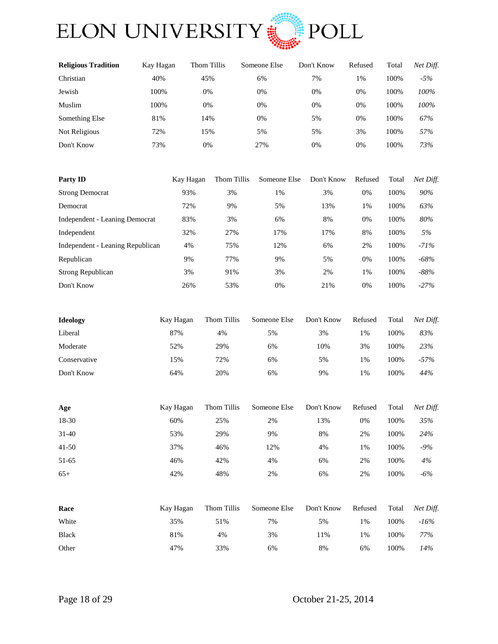

| <b>Religious Tradition</b> | Kay Hagan | Thom Tillis | Someone Else | Don't Know | Refused | Total | Net Diff. |
|----------------------------|-----------|-------------|--------------|------------|---------|-------|-----------|
| Christian                  | 40%       | 45%         | 6%           | 7%         | 1%      | 100%  | $-5%$     |
| Jewish                     | 100%      | 0%          | 0%           | 0%         | 0%      | 100%  | 100%      |
| Muslim                     | 100%      | 0%          | 0%           | 0%         | 0%      | 100%  | 100%      |
| Something Else             | 81%       | 14%         | 0%           | 5%         | 0%      | 100%  | 67%       |
| Not Religious              | 72%       | 15%         | 5%           | 5%         | 3%      | 100%  | 57%       |
| Don't Know                 | 73%       | 0%          | 27%          | 0%         | 0%      | 100%  | 73%       |
|                            |           |             |              |            |         |       |           |

| Party ID                         | Kay Hagan | Thom Tillis | Someone Else | Don't Know | Refused | Total | Net Diff. |
|----------------------------------|-----------|-------------|--------------|------------|---------|-------|-----------|
| <b>Strong Democrat</b>           | 93%       | 3%          | 1%           | 3%         | 0%      | 100%  | 90%       |
| Democrat                         | 72%       | 9%          | 5%           | 13%        | 1%      | 100%  | 63%       |
| Independent - Leaning Democrat   | 83%       | 3%          | 6%           | 8%         | 0%      | 100%  | 80%       |
| Independent                      | 32%       | 27%         | 17%          | 17%        | 8%      | 100%  | 5%        |
| Independent - Leaning Republican | 4%        | 75%         | 12%          | 6%         | 2%      | 100%  | $-71%$    |
| Republican                       | 9%        | 77%         | 9%           | 5%         | 0%      | 100%  | $-68\%$   |
| <b>Strong Republican</b>         | 3%        | 91%         | 3%           | 2%         | 1%      | 100%  | $-88%$    |
| Don't Know                       | 26%       | 53%         | 0%           | 21%        | 0%      | 100%  | $-27%$    |

| <b>Ideology</b> | Kay Hagan | Thom Tillis | Someone Else | Don't Know | Refused | Total | Net Diff. |
|-----------------|-----------|-------------|--------------|------------|---------|-------|-----------|
| Liberal         | 87%       | 4%          | 5%           | 3%         | $1\%$   | 100%  | 83%       |
| Moderate        | 52%       | 29%         | 6%           | 10%        | 3%      | 100%  | 23%       |
| Conservative    | 15%       | 72%         | 6%           | 5%         | 1%      | 100%  | $-57\%$   |
| Don't Know      | 64%       | 20%         | 6%           | 9%         | 1%      | 100%  | 44%       |

| Age     | Kay Hagan | Thom Tillis | Someone Else | Don't Know | Refused | Total | Net Diff. |
|---------|-----------|-------------|--------------|------------|---------|-------|-----------|
| 18-30   | 60%       | 25%         | 2%           | 13%        | 0%      | 100%  | 35%       |
| $31-40$ | 53%       | 29%         | 9%           | 8%         | 2%      | 100%  | 24%       |
| $41-50$ | 37%       | 46%         | 12%          | 4%         | 1%      | 100%  | $-9%$     |
| 51-65   | 46%       | 42%         | 4%           | 6%         | 2%      | 100%  | 4%        |
| $65+$   | 42%       | 48%         | 2%           | 6%         | 2%      | 100%  | $-6%$     |

| Race         | Kay Hagan | Thom Tillis | Someone Else | Don't Know | Refused | Total | Net Diff. |
|--------------|-----------|-------------|--------------|------------|---------|-------|-----------|
| White        | 35%       | 51%         | 7%           | 5%         | 1%      | 100%  | $-16\%$   |
| <b>Black</b> | 81%       | 4%          | 3%           | 11%        | 1%      | 100%  | 77%       |
| Other        | 47%       | 33%         | 6%           | 8%         | 6%      | 100%  | 14%       |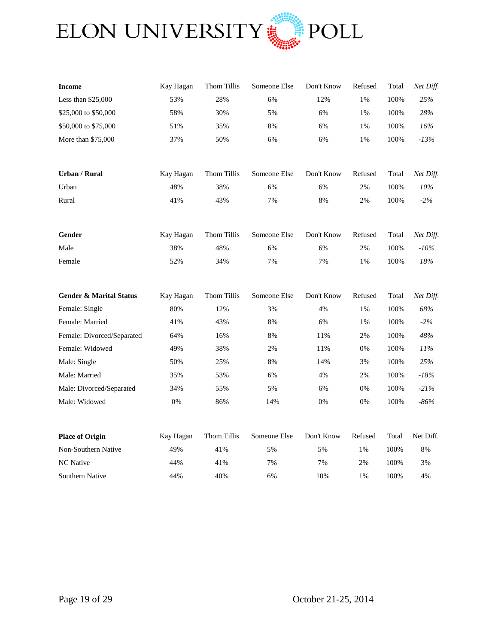

| <b>Income</b>                      | Kay Hagan | Thom Tillis | Someone Else | Don't Know | Refused | Total | Net Diff. |
|------------------------------------|-----------|-------------|--------------|------------|---------|-------|-----------|
| Less than \$25,000                 | 53%       | 28%         | 6%           | 12%        | 1%      | 100%  | 25%       |
| \$25,000 to \$50,000               | 58%       | 30%         | 5%           | 6%         | $1\%$   | 100%  | 28%       |
| \$50,000 to \$75,000               | 51%       | 35%         | 8%           | 6%         | 1%      | 100%  | 16%       |
| More than \$75,000                 | 37%       | 50%         | 6%           | 6%         | 1%      | 100%  | $-13%$    |
|                                    |           |             |              |            |         |       |           |
| <b>Urban / Rural</b>               | Kay Hagan | Thom Tillis | Someone Else | Don't Know | Refused | Total | Net Diff. |
| Urban                              | 48%       | 38%         | 6%           | 6%         | 2%      | 100%  | 10%       |
| Rural                              | 41%       | 43%         | 7%           | 8%         | 2%      | 100%  | $-2\%$    |
|                                    |           |             |              |            |         |       |           |
| Gender                             | Kay Hagan | Thom Tillis | Someone Else | Don't Know | Refused | Total | Net Diff. |
| Male                               | 38%       | 48%         | 6%           | 6%         | 2%      | 100%  | $-10\%$   |
| Female                             | 52%       | 34%         | 7%           | 7%         | 1%      | 100%  | 18%       |
|                                    |           |             |              |            |         |       |           |
| <b>Gender &amp; Marital Status</b> | Kay Hagan | Thom Tillis | Someone Else | Don't Know | Refused | Total | Net Diff. |
| Female: Single                     | 80%       | 12%         | 3%           | 4%         | 1%      | 100%  | 68%       |
| Female: Married                    | 41%       | 43%         | 8%           | 6%         | 1%      | 100%  | $-2%$     |
| Female: Divorced/Separated         | 64%       | 16%         | 8%           | 11%        | 2%      | 100%  | 48%       |
| Female: Widowed                    | 49%       | 38%         | 2%           | 11%        | 0%      | 100%  | 11%       |
| Male: Single                       | 50%       | 25%         | 8%           | 14%        | 3%      | 100%  | 25%       |
| Male: Married                      | 35%       | 53%         | 6%           | 4%         | 2%      | 100%  | $-18%$    |
| Male: Divorced/Separated           | 34%       | 55%         | 5%           | 6%         | 0%      | 100%  | $-21%$    |
| Male: Widowed                      | 0%        | 86%         | 14%          | 0%         | 0%      | 100%  | $-86%$    |
|                                    |           |             |              |            |         |       |           |
| <b>Place of Origin</b>             | Kay Hagan | Thom Tillis | Someone Else | Don't Know | Refused | Total | Net Diff. |
| Non-Southern Native                | 49%       | 41%         | 5%           | 5%         | 1%      | 100%  | $8\%$     |
| NC Native                          | 44%       | 41%         | 7%           | 7%         | 2%      | 100%  | 3%        |
| Southern Native                    | 44%       | 40%         | 6%           | 10%        | 1%      | 100%  | 4%        |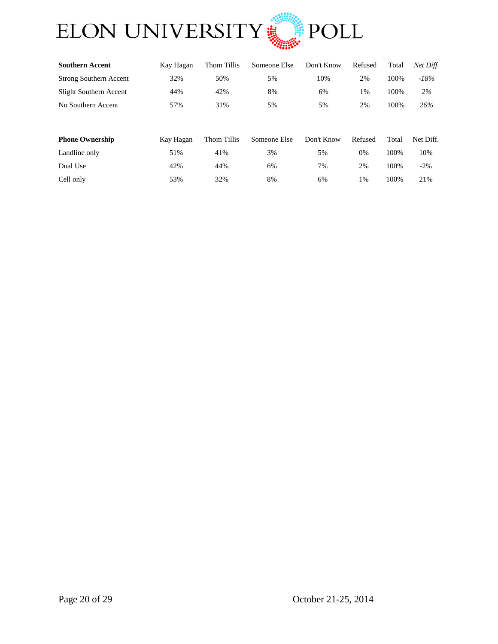

| <b>Southern Accent</b>        | Kay Hagan | Thom Tillis | Someone Else | Don't Know | Refused | Total | Net Diff. |
|-------------------------------|-----------|-------------|--------------|------------|---------|-------|-----------|
| <b>Strong Southern Accent</b> | 32%       | 50%         | 5%           | 10%        | 2%      | 100%  | $-18\%$   |
| Slight Southern Accent        | 44%       | 42%         | 8%           | 6%         | 1%      | 100%  | 2%        |
| No Southern Accent            | 57%       | 31%         | 5%           | 5%         | 2%      | 100%  | 26%       |
|                               |           |             |              |            |         |       |           |
| <b>Phone Ownership</b>        | Kay Hagan | Thom Tillis | Someone Else | Don't Know | Refused | Total | Net Diff. |
| Landline only                 | 51%       | 41%         | 3%           | 5%         | 0%      | 100%  | 10%       |

Dual Use 42% 44% 6% 7% 2% 100% -2% Cell only 53% 32% 8% 6% 1% 100% 21%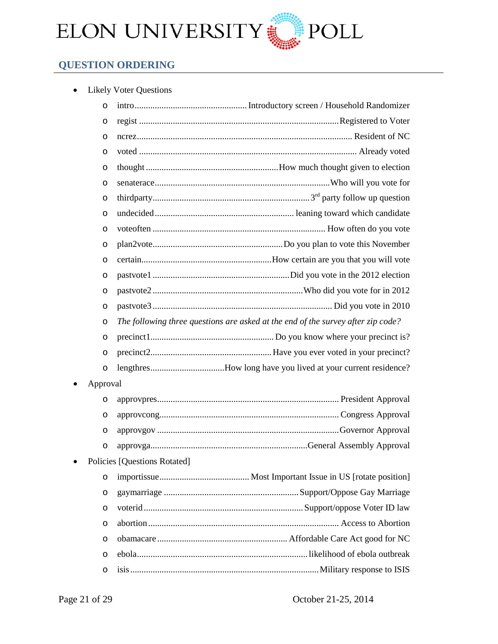

# <span id="page-20-0"></span>**QUESTION ORDERING**

| <b>Likely Voter Questions</b> |
|-------------------------------|
|-------------------------------|

| $\circ$  |                                                                                  |
|----------|----------------------------------------------------------------------------------|
| O        |                                                                                  |
| O        |                                                                                  |
| O        |                                                                                  |
| O        |                                                                                  |
| O        |                                                                                  |
| O        |                                                                                  |
| $\circ$  |                                                                                  |
| $\circ$  |                                                                                  |
| O        |                                                                                  |
| $\circ$  |                                                                                  |
| O        |                                                                                  |
| O        |                                                                                  |
| $\circ$  |                                                                                  |
| $\circ$  | The following three questions are asked at the end of the survey after zip code? |
| O        |                                                                                  |
| $\circ$  |                                                                                  |
| $\circ$  | lengthresHow long have you lived at your current residence?                      |
| Approval |                                                                                  |
| O        |                                                                                  |
| O        |                                                                                  |
| O        |                                                                                  |
| O        |                                                                                  |
|          | Policies [Questions Rotated]                                                     |
| O        |                                                                                  |
| O        |                                                                                  |
| O        |                                                                                  |
| $\circ$  |                                                                                  |
| O        |                                                                                  |
| $\circ$  |                                                                                  |
| O        |                                                                                  |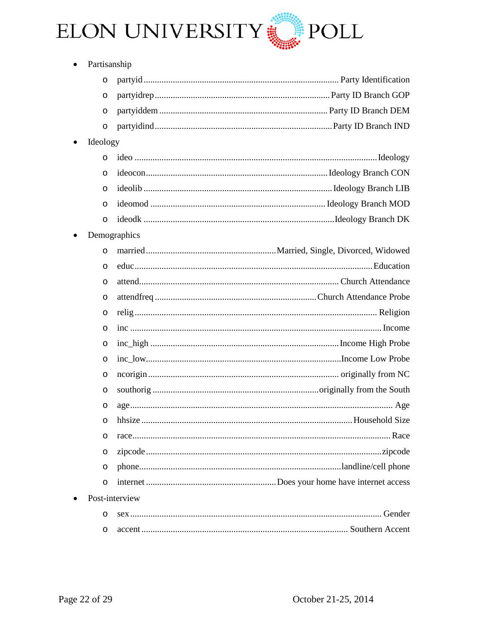

|           | Partisanship |                |
|-----------|--------------|----------------|
|           | $\circ$      |                |
|           | O            |                |
|           | O            |                |
|           | $\circ$      |                |
| $\bullet$ | Ideology     |                |
|           | $\circ$      |                |
|           | O            |                |
|           | O            |                |
|           | $\circ$      |                |
|           | $\circ$      |                |
|           |              | Demographics   |
|           | $\circ$      |                |
|           | O            |                |
|           | O            |                |
|           | O            |                |
|           | O            |                |
|           | O            |                |
|           | $\circ$      |                |
|           | $\circ$      |                |
|           | O            |                |
|           | O            |                |
|           | O            |                |
|           | $\circ$      |                |
|           | O            |                |
|           | O            |                |
|           | O            |                |
|           | O            |                |
|           |              | Post-interview |
|           | O            |                |
|           | O            |                |
|           |              |                |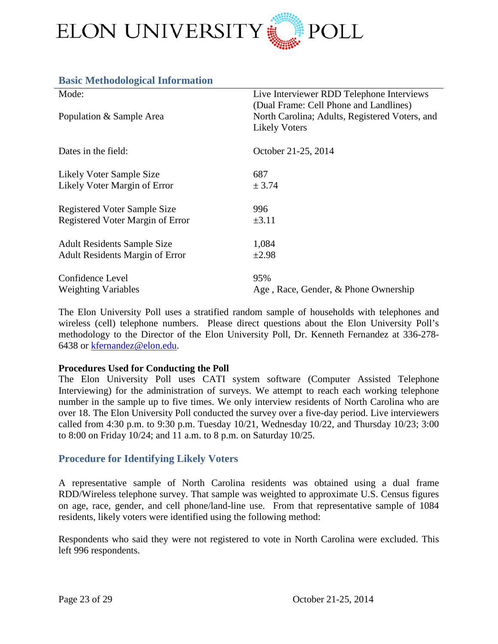

| Mode:                                  | Live Interviewer RDD Telephone Interviews<br>(Dual Frame: Cell Phone and Landlines) |
|----------------------------------------|-------------------------------------------------------------------------------------|
| Population & Sample Area               | North Carolina; Adults, Registered Voters, and<br><b>Likely Voters</b>              |
| Dates in the field:                    | October 21-25, 2014                                                                 |
| Likely Voter Sample Size               | 687                                                                                 |
| Likely Voter Margin of Error           | ± 3.74                                                                              |
| <b>Registered Voter Sample Size</b>    | 996                                                                                 |
| Registered Voter Margin of Error       | $\pm 3.11$                                                                          |
| <b>Adult Residents Sample Size</b>     | 1,084                                                                               |
| <b>Adult Residents Margin of Error</b> | $\pm 2.98$                                                                          |
| Confidence Level                       | 95%                                                                                 |
| <b>Weighting Variables</b>             | Age, Race, Gender, & Phone Ownership                                                |

The Elon University Poll uses a stratified random sample of households with telephones and wireless (cell) telephone numbers. Please direct questions about the Elon University Poll's methodology to the Director of the Elon University Poll, Dr. Kenneth Fernandez at 336-278- 6438 or [kfernandez@elon.edu.](mailto:kfernandez@elon.edu)

#### **Procedures Used for Conducting the Poll**

<span id="page-22-0"></span>**Basic Methodological Information**

The Elon University Poll uses CATI system software (Computer Assisted Telephone Interviewing) for the administration of surveys. We attempt to reach each working telephone number in the sample up to five times. We only interview residents of North Carolina who are over 18. The Elon University Poll conducted the survey over a five-day period. Live interviewers called from 4:30 p.m. to 9:30 p.m. Tuesday  $10/21$ , Wednesday  $10/22$ , and Thursday  $10/23$ ; 3:00 to 8:00 on Friday 10/24; and 11 a.m. to 8 p.m. on Saturday 10/25.

#### <span id="page-22-1"></span>**Procedure for Identifying Likely Voters**

A representative sample of North Carolina residents was obtained using a dual frame RDD/Wireless telephone survey. That sample was weighted to approximate U.S. Census figures on age, race, gender, and cell phone/land-line use. From that representative sample of 1084 residents, likely voters were identified using the following method:

Respondents who said they were not registered to vote in North Carolina were excluded. This left 996 respondents.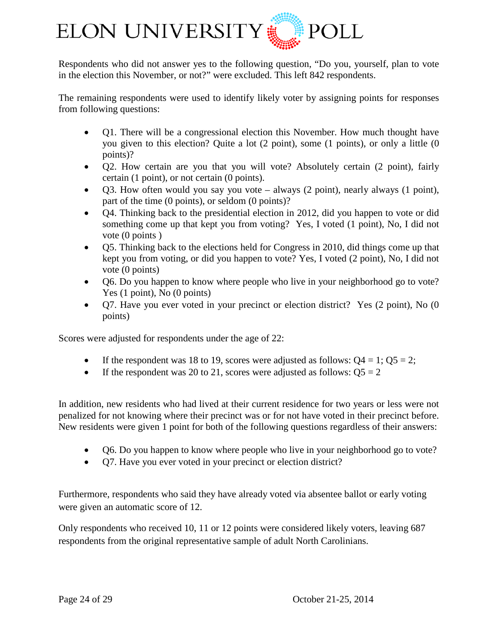

Respondents who did not answer yes to the following question, "Do you, yourself, plan to vote in the election this November, or not?" were excluded. This left 842 respondents.

The remaining respondents were used to identify likely voter by assigning points for responses from following questions:

- Q1. There will be a congressional election this November. How much thought have you given to this election? Quite a lot (2 point), some (1 points), or only a little (0 points)?
- Q2. How certain are you that you will vote? Absolutely certain (2 point), fairly certain (1 point), or not certain (0 points).
- Q3. How often would you say you vote always (2 point), nearly always (1 point), part of the time (0 points), or seldom (0 points)?
- Q4. Thinking back to the presidential election in 2012, did you happen to vote or did something come up that kept you from voting? Yes, I voted (1 point), No, I did not vote (0 points )
- Q5. Thinking back to the elections held for Congress in 2010, did things come up that kept you from voting, or did you happen to vote? Yes, I voted (2 point), No, I did not vote (0 points)
- Q6. Do you happen to know where people who live in your neighborhood go to vote? Yes (1 point), No (0 points)
- Q7. Have you ever voted in your precinct or election district? Yes (2 point), No (0 points)

Scores were adjusted for respondents under the age of 22:

- If the respondent was 18 to 19, scores were adjusted as follows:  $Q4 = 1$ ;  $Q5 = 2$ ;
- If the respondent was 20 to 21, scores were adjusted as follows:  $\text{O5} = 2$

In addition, new residents who had lived at their current residence for two years or less were not penalized for not knowing where their precinct was or for not have voted in their precinct before. New residents were given 1 point for both of the following questions regardless of their answers:

- Q6. Do you happen to know where people who live in your neighborhood go to vote?
- Q7. Have you ever voted in your precinct or election district?

Furthermore, respondents who said they have already voted via absentee ballot or early voting were given an automatic score of 12.

Only respondents who received 10, 11 or 12 points were considered likely voters, leaving 687 respondents from the original representative sample of adult North Carolinians.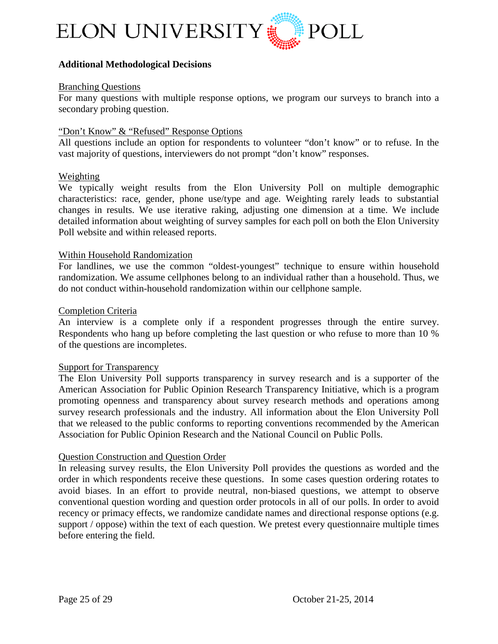

#### **Additional Methodological Decisions**

#### Branching Questions

For many questions with multiple response options, we program our surveys to branch into a secondary probing question.

#### "Don't Know" & "Refused" Response Options

All questions include an option for respondents to volunteer "don't know" or to refuse. In the vast majority of questions, interviewers do not prompt "don't know" responses.

#### Weighting

We typically weight results from the Elon University Poll on multiple demographic characteristics: race, gender, phone use/type and age. Weighting rarely leads to substantial changes in results. We use iterative raking, adjusting one dimension at a time. We include detailed information about weighting of survey samples for each poll on both the Elon University Poll website and within released reports.

#### Within Household Randomization

For landlines, we use the common "oldest-youngest" technique to ensure within household randomization. We assume cellphones belong to an individual rather than a household. Thus, we do not conduct within-household randomization within our cellphone sample.

#### Completion Criteria

An interview is a complete only if a respondent progresses through the entire survey. Respondents who hang up before completing the last question or who refuse to more than 10 % of the questions are incompletes.

#### Support for Transparency

The Elon University Poll supports transparency in survey research and is a supporter of the American Association for Public Opinion Research Transparency Initiative, which is a program promoting openness and transparency about survey research methods and operations among survey research professionals and the industry. All information about the Elon University Poll that we released to the public conforms to reporting conventions recommended by the American Association for Public Opinion Research and the National Council on Public Polls.

#### Question Construction and Question Order

In releasing survey results, the Elon University Poll provides the questions as worded and the order in which respondents receive these questions. In some cases question ordering rotates to avoid biases. In an effort to provide neutral, non-biased questions, we attempt to observe conventional question wording and question order protocols in all of our polls. In order to avoid recency or primacy effects, we randomize candidate names and directional response options (e.g. support / oppose) within the text of each question. We pretest every questionnaire multiple times before entering the field.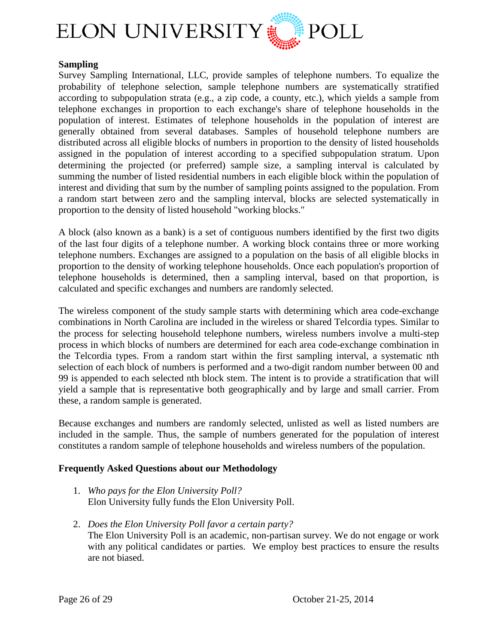

#### **Sampling**

Survey Sampling International, LLC, provide samples of telephone numbers. To equalize the probability of telephone selection, sample telephone numbers are systematically stratified according to subpopulation strata (e.g., a zip code, a county, etc.), which yields a sample from telephone exchanges in proportion to each exchange's share of telephone households in the population of interest. Estimates of telephone households in the population of interest are generally obtained from several databases. Samples of household telephone numbers are distributed across all eligible blocks of numbers in proportion to the density of listed households assigned in the population of interest according to a specified subpopulation stratum. Upon determining the projected (or preferred) sample size, a sampling interval is calculated by summing the number of listed residential numbers in each eligible block within the population of interest and dividing that sum by the number of sampling points assigned to the population. From a random start between zero and the sampling interval, blocks are selected systematically in proportion to the density of listed household "working blocks."

A block (also known as a bank) is a set of contiguous numbers identified by the first two digits of the last four digits of a telephone number. A working block contains three or more working telephone numbers. Exchanges are assigned to a population on the basis of all eligible blocks in proportion to the density of working telephone households. Once each population's proportion of telephone households is determined, then a sampling interval, based on that proportion, is calculated and specific exchanges and numbers are randomly selected.

The wireless component of the study sample starts with determining which area code-exchange combinations in North Carolina are included in the wireless or shared Telcordia types. Similar to the process for selecting household telephone numbers, wireless numbers involve a multi-step process in which blocks of numbers are determined for each area code-exchange combination in the Telcordia types. From a random start within the first sampling interval, a systematic nth selection of each block of numbers is performed and a two-digit random number between 00 and 99 is appended to each selected nth block stem. The intent is to provide a stratification that will yield a sample that is representative both geographically and by large and small carrier. From these, a random sample is generated.

Because exchanges and numbers are randomly selected, unlisted as well as listed numbers are included in the sample. Thus, the sample of numbers generated for the population of interest constitutes a random sample of telephone households and wireless numbers of the population.

#### **Frequently Asked Questions about our Methodology**

- 1. *Who pays for the Elon University Poll?* Elon University fully funds the Elon University Poll.
- 2. *Does the Elon University Poll favor a certain party?* The Elon University Poll is an academic, non-partisan survey. We do not engage or work with any political candidates or parties. We employ best practices to ensure the results are not biased.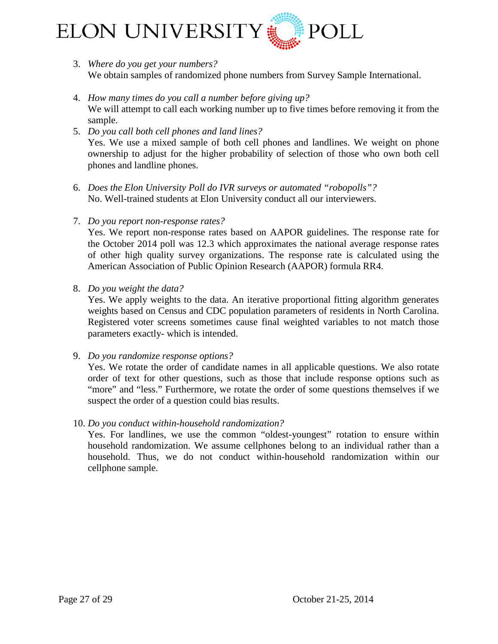

- 3. *Where do you get your numbers?* We obtain samples of randomized phone numbers from Survey Sample International.
- 4. *How many times do you call a number before giving up?* We will attempt to call each working number up to five times before removing it from the sample.
- 5. *Do you call both cell phones and land lines?* Yes. We use a mixed sample of both cell phones and landlines. We weight on phone ownership to adjust for the higher probability of selection of those who own both cell phones and landline phones.
- 6. *Does the Elon University Poll do IVR surveys or automated "robopolls"?* No. Well-trained students at Elon University conduct all our interviewers.
- 7. *Do you report non-response rates?*

Yes. We report non-response rates based on AAPOR guidelines. The response rate for the October 2014 poll was 12.3 which approximates the national average response rates of other high quality survey organizations. The response rate is calculated using the American Association of Public Opinion Research (AAPOR) formula RR4.

8. *Do you weight the data?*

Yes. We apply weights to the data. An iterative proportional fitting algorithm generates weights based on Census and CDC population parameters of residents in North Carolina. Registered voter screens sometimes cause final weighted variables to not match those parameters exactly- which is intended.

9. *Do you randomize response options?*

Yes. We rotate the order of candidate names in all applicable questions. We also rotate order of text for other questions, such as those that include response options such as "more" and "less." Furthermore, we rotate the order of some questions themselves if we suspect the order of a question could bias results.

10. *Do you conduct within-household randomization?*

Yes. For landlines, we use the common "oldest-youngest" rotation to ensure within household randomization. We assume cellphones belong to an individual rather than a household. Thus, we do not conduct within-household randomization within our cellphone sample.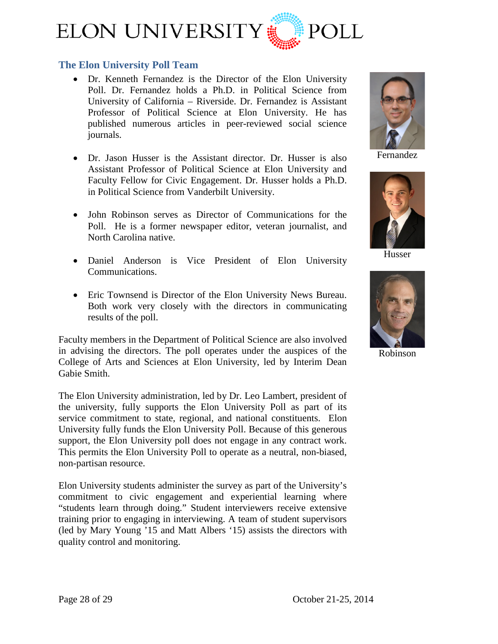

#### <span id="page-27-0"></span>**The Elon University Poll Team**

- [Dr. Kenneth Fernandez](http://www.elon.edu/directories/profile/?user=kfernandez) is the Director of the Elon University Poll. Dr. Fernandez holds a Ph.D. in Political Science from University of California – Riverside. Dr. Fernandez is Assistant Professor of Political Science at Elon University. He has published numerous articles in peer-reviewed social science journals.
- [Dr. Jason Husser](http://www.elon.edu/directories/profile/?user=jhusser) is the Assistant director. Dr. Husser is also Assistant Professor of Political Science at Elon University and Faculty Fellow for Civic Engagement. Dr. Husser holds a Ph.D. in Political Science from Vanderbilt University.
- John Robinson serves as Director of Communications for the Poll. He is a former newspaper editor, veteran journalist, and North Carolina native.
- Daniel Anderson is Vice President of Elon University Communications.
- Eric Townsend is Director of the Elon University News Bureau. Both work very closely with the directors in communicating results of the poll.

Faculty members in the Department of Political Science are also involved in advising the directors. The poll operates under the auspices of the College of Arts and Sciences at Elon University, led by Interim Dean Gabie Smith.

The Elon University administration, led by Dr. Leo Lambert, president of the university, fully supports the Elon University Poll as part of its service commitment to state, regional, and national constituents. Elon University fully funds the Elon University Poll. Because of this generous support, the Elon University poll does not engage in any contract work. This permits the Elon University Poll to operate as a neutral, non-biased, non-partisan resource.

Elon University students administer the survey as part of the University's commitment to civic engagement and experiential learning where "students learn through doing." Student interviewers receive extensive training prior to engaging in interviewing. A team of student supervisors (led by Mary Young '15 and Matt Albers '15) assists the directors with quality control and monitoring.



Fernandez



Husser



Robinson